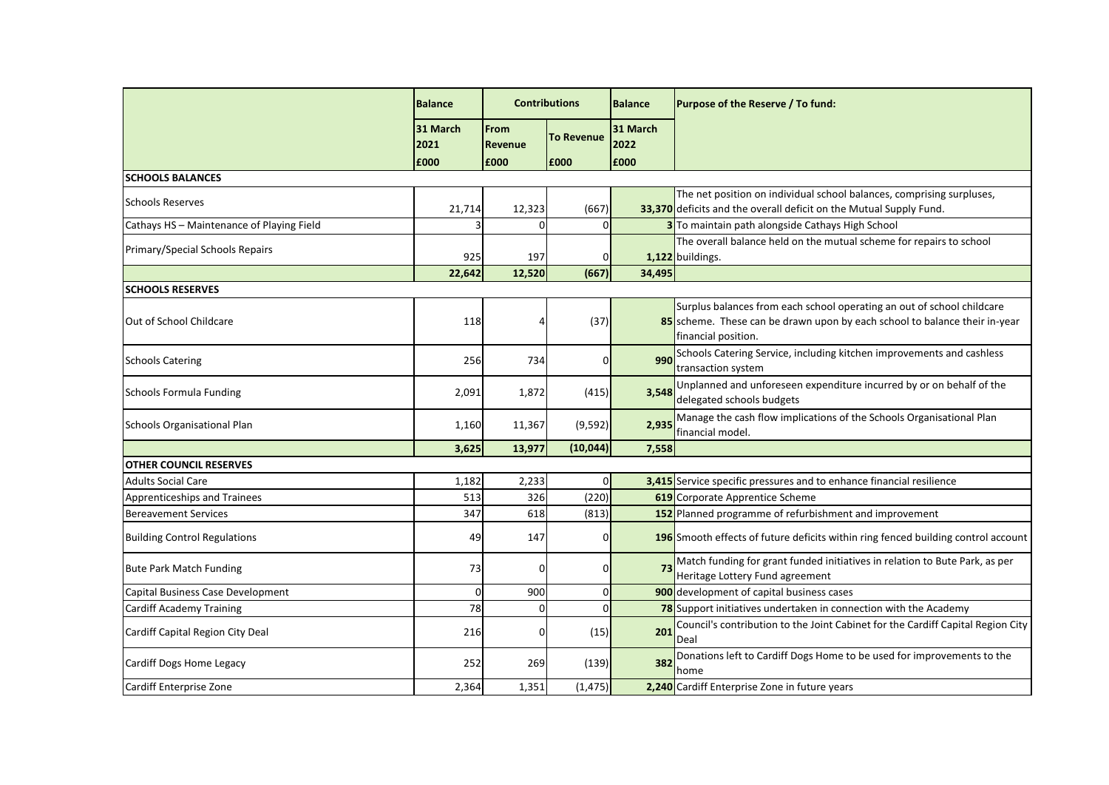|                                           | <b>Balance</b>   | <b>Contributions</b> |                   | Balance          | Purpose of the Reserve / To fund:                                                                                                                                           |
|-------------------------------------------|------------------|----------------------|-------------------|------------------|-----------------------------------------------------------------------------------------------------------------------------------------------------------------------------|
|                                           | 31 March<br>2021 | From<br>Revenue      | <b>To Revenue</b> | 31 March<br>2022 |                                                                                                                                                                             |
|                                           | £000             | £000                 | E000              | £000             |                                                                                                                                                                             |
| <b>SCHOOLS BALANCES</b>                   |                  |                      |                   |                  |                                                                                                                                                                             |
| <b>Schools Reserves</b>                   | 21,714           | 12,323               | (667)             |                  | The net position on individual school balances, comprising surpluses,<br>33,370 deficits and the overall deficit on the Mutual Supply Fund.                                 |
| Cathays HS - Maintenance of Playing Field |                  | 0                    |                   |                  | 3 To maintain path alongside Cathays High School                                                                                                                            |
| Primary/Special Schools Repairs           | 925              | 197                  |                   |                  | The overall balance held on the mutual scheme for repairs to school<br>1,122 buildings.                                                                                     |
|                                           | 22,642           | 12,520               | (667)             | 34,495           |                                                                                                                                                                             |
| <b>SCHOOLS RESERVES</b>                   |                  |                      |                   |                  |                                                                                                                                                                             |
| Out of School Childcare                   | 118              | 4                    | (37)              |                  | Surplus balances from each school operating an out of school childcare<br>85 scheme. These can be drawn upon by each school to balance their in-year<br>financial position. |
| <b>Schools Catering</b>                   | 256              | 734                  | 01                | 990              | Schools Catering Service, including kitchen improvements and cashless<br>transaction system                                                                                 |
| <b>Schools Formula Funding</b>            | 2,091            | 1,872                | (415)             | 3,548            | Unplanned and unforeseen expenditure incurred by or on behalf of the<br>delegated schools budgets                                                                           |
| Schools Organisational Plan               | 1,160            | 11,367               | (9, 592)          | 2,935            | Manage the cash flow implications of the Schools Organisational Plan<br>financial model.                                                                                    |
|                                           | 3,625            | 13,977               | (10, 044)         | 7,558            |                                                                                                                                                                             |
| <b>OTHER COUNCIL RESERVES</b>             |                  |                      |                   |                  |                                                                                                                                                                             |
| <b>Adults Social Care</b>                 | 1,182            | 2,233                | O                 |                  | 3,415 Service specific pressures and to enhance financial resilience                                                                                                        |
| Apprenticeships and Trainees              | 513              | 326                  | (220)             |                  | <b>619</b> Corporate Apprentice Scheme                                                                                                                                      |
| <b>Bereavement Services</b>               | 347              | 618                  | (813)             |                  | 152 Planned programme of refurbishment and improvement                                                                                                                      |
| <b>Building Control Regulations</b>       | 49               | 147                  | $\Omega$          |                  | 196 Smooth effects of future deficits within ring fenced building control account                                                                                           |
| <b>Bute Park Match Funding</b>            | 73               | 0                    |                   | 73               | Match funding for grant funded initiatives in relation to Bute Park, as per<br>Heritage Lottery Fund agreement                                                              |
| Capital Business Case Development         | ΩI               | 900                  |                   |                  | 900 development of capital business cases                                                                                                                                   |
| <b>Cardiff Academy Training</b>           | 78               | $\overline{0}$       | 0I                |                  | 78 Support initiatives undertaken in connection with the Academy                                                                                                            |
| Cardiff Capital Region City Deal          | 216              | $\mathbf{0}$         | (15)              | 201              | Council's contribution to the Joint Cabinet for the Cardiff Capital Region City<br>Deal                                                                                     |
| Cardiff Dogs Home Legacy                  | 252              | 269                  | (139)             | 382              | Donations left to Cardiff Dogs Home to be used for improvements to the<br>home                                                                                              |
| Cardiff Enterprise Zone                   | 2,364            | 1,351                | (1, 475)          |                  | 2,240 Cardiff Enterprise Zone in future years                                                                                                                               |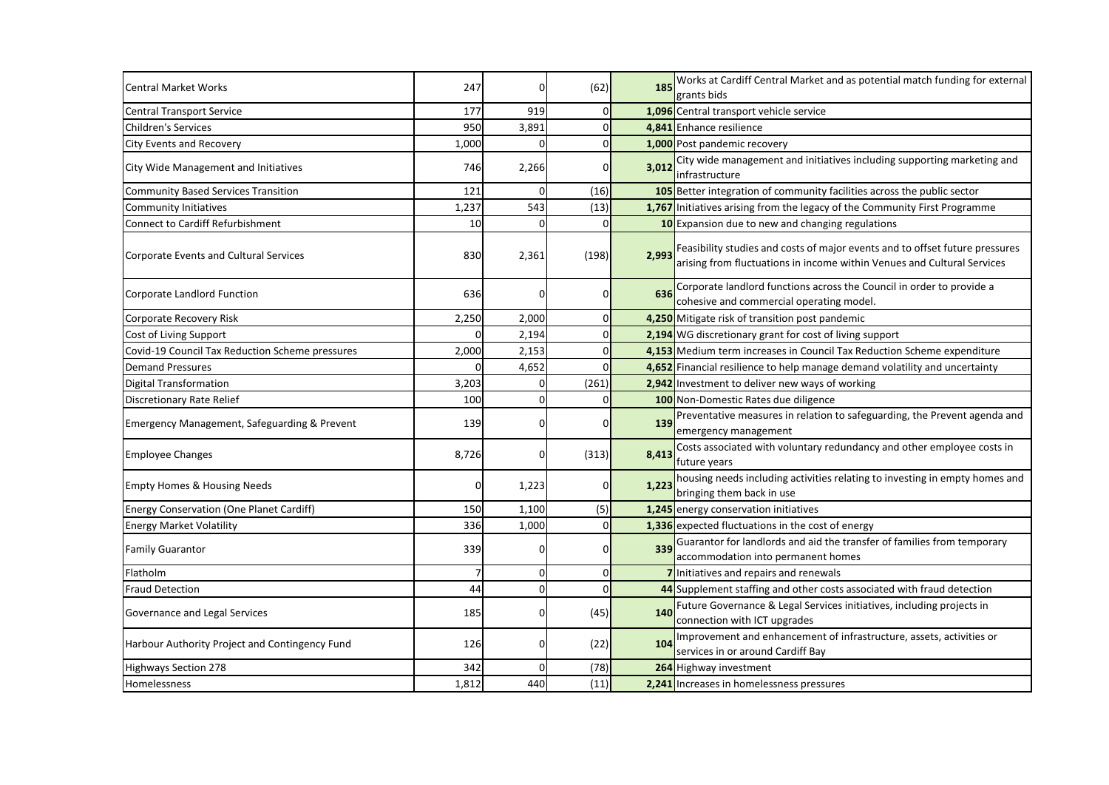| <b>Central Market Works</b>                             | 247      | 0              | (62)  | 185   | Works at Cardiff Central Market and as potential match funding for external<br>grants bids                                                              |
|---------------------------------------------------------|----------|----------------|-------|-------|---------------------------------------------------------------------------------------------------------------------------------------------------------|
| <b>Central Transport Service</b>                        | 177      | 919            |       |       | 1,096 Central transport vehicle service                                                                                                                 |
| Children's Services                                     | 950      | 3,891          |       |       | 4,841 Enhance resilience                                                                                                                                |
| <b>City Events and Recovery</b>                         | 1,000    | 0              |       |       | 1,000 Post pandemic recovery                                                                                                                            |
| City Wide Management and Initiatives                    | 746      | 2,266          | ŋ     | 3,012 | City wide management and initiatives including supporting marketing and<br>infrastructure                                                               |
| <b>Community Based Services Transition</b>              | 121      | 0              | (16)  |       | 105 Better integration of community facilities across the public sector                                                                                 |
| Community Initiatives                                   | 1,237    | 543            | (13)  |       | 1,767 Initiatives arising from the legacy of the Community First Programme                                                                              |
| <b>Connect to Cardiff Refurbishment</b>                 | 10       | $\mathbf{O}$   |       |       | 10 Expansion due to new and changing regulations                                                                                                        |
| <b>Corporate Events and Cultural Services</b>           | 830      | 2,361          | (198) | 2,993 | Feasibility studies and costs of major events and to offset future pressures<br>arising from fluctuations in income within Venues and Cultural Services |
| Corporate Landlord Function                             | 636      | 0              | ΩI    | 636   | Corporate landlord functions across the Council in order to provide a<br>cohesive and commercial operating model.                                       |
| Corporate Recovery Risk                                 | 2,250    | 2,000          |       |       | 4,250 Mitigate risk of transition post pandemic                                                                                                         |
| Cost of Living Support                                  | $\Omega$ | 2,194          |       |       | 2,194 WG discretionary grant for cost of living support                                                                                                 |
| Covid-19 Council Tax Reduction Scheme pressures         | 2,000    | 2,153          |       |       | 4,153 Medium term increases in Council Tax Reduction Scheme expenditure                                                                                 |
| <b>Demand Pressures</b>                                 |          | 4,652          |       |       | 4,652 Financial resilience to help manage demand volatility and uncertainty                                                                             |
| <b>Digital Transformation</b>                           | 3,203    | 0              | (261) |       | 2,942 Investment to deliver new ways of working                                                                                                         |
| <b>Discretionary Rate Relief</b>                        | 100      | $\mathbf{O}$   |       |       | 100 Non-Domestic Rates due diligence                                                                                                                    |
| <b>Emergency Management, Safeguarding &amp; Prevent</b> | 139      | 0              |       | 139   | Preventative measures in relation to safeguarding, the Prevent agenda and<br>emergency management                                                       |
| <b>Employee Changes</b>                                 | 8,726    | $\overline{0}$ | (313) | 8,413 | Costs associated with voluntary redundancy and other employee costs in<br>future years                                                                  |
| <b>Empty Homes &amp; Housing Needs</b>                  | n        | 1,223          |       | 1,223 | housing needs including activities relating to investing in empty homes and<br>bringing them back in use                                                |
| Energy Conservation (One Planet Cardiff)                | 150      | 1,100          | (5)   |       | 1,245 energy conservation initiatives                                                                                                                   |
| <b>Energy Market Volatility</b>                         | 336      | 1,000          |       |       | 1,336 expected fluctuations in the cost of energy                                                                                                       |
| <b>Family Guarantor</b>                                 | 339      | $\mathbf 0$    | ŋ     | 339   | Guarantor for landlords and aid the transfer of families from temporary<br>accommodation into permanent homes                                           |
| Flatholm                                                | 7        | $\overline{0}$ | 01    |       | 7 Initiatives and repairs and renewals                                                                                                                  |
| <b>Fraud Detection</b>                                  | 44       | $\overline{0}$ | Οl    |       | 44 Supplement staffing and other costs associated with fraud detection                                                                                  |
| Governance and Legal Services                           | 185      | $\overline{0}$ | (45)  | 140   | Future Governance & Legal Services initiatives, including projects in<br>connection with ICT upgrades                                                   |
| Harbour Authority Project and Contingency Fund          | 126      | $\overline{0}$ | (22)  | 104   | Improvement and enhancement of infrastructure, assets, activities or<br>services in or around Cardiff Bay                                               |
| <b>Highways Section 278</b>                             | 342      | $\overline{0}$ | (78)  |       | 264 Highway investment                                                                                                                                  |
| Homelessness                                            | 1,812    | 440            | (11)  |       | 2,241 Increases in homelessness pressures                                                                                                               |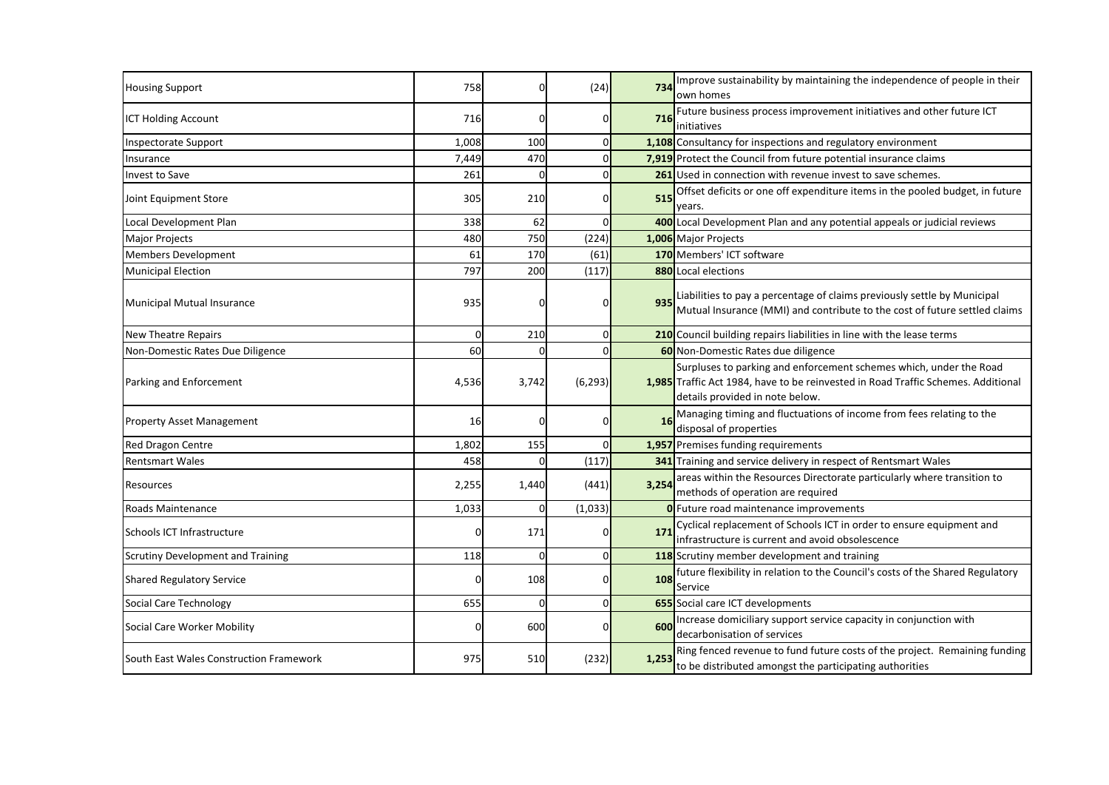| <b>Housing Support</b>                   | 758   | 01             | (24)     | 734   | Improve sustainability by maintaining the independence of people in their<br>own homes                                                                                                     |
|------------------------------------------|-------|----------------|----------|-------|--------------------------------------------------------------------------------------------------------------------------------------------------------------------------------------------|
| <b>ICT Holding Account</b>               | 716   | 0              |          | 716   | Future business process improvement initiatives and other future ICT<br>initiatives                                                                                                        |
| <b>Inspectorate Support</b>              | 1,008 | 100            |          |       | 1,108 Consultancy for inspections and regulatory environment                                                                                                                               |
| Insurance                                | 7,449 | 470            |          |       | 7,919 Protect the Council from future potential insurance claims                                                                                                                           |
| <b>Invest to Save</b>                    | 261   | $\Omega$       |          |       | 261 Used in connection with revenue invest to save schemes.                                                                                                                                |
| Joint Equipment Store                    | 305   | 210            | n        | 515   | Offset deficits or one off expenditure items in the pooled budget, in future<br>years.                                                                                                     |
| Local Development Plan                   | 338   | 62             |          |       | 400 Local Development Plan and any potential appeals or judicial reviews                                                                                                                   |
| <b>Major Projects</b>                    | 480   | 750            | (224)    |       | 1,006 Major Projects                                                                                                                                                                       |
| <b>Members Development</b>               | 61    | 170            | (61)     |       | 170 Members' ICT software                                                                                                                                                                  |
| <b>Municipal Election</b>                | 797   | 200            | (117)    |       | 880 Local elections                                                                                                                                                                        |
| Municipal Mutual Insurance               | 935   | 0              |          | 935   | Liabilities to pay a percentage of claims previously settle by Municipal<br>Mutual Insurance (MMI) and contribute to the cost of future settled claims                                     |
| <b>New Theatre Repairs</b>               | 0     | 210            |          |       | 210 Council building repairs liabilities in line with the lease terms                                                                                                                      |
| Non-Domestic Rates Due Diligence         | 60    | 0              |          |       | 60 Non-Domestic Rates due diligence                                                                                                                                                        |
| Parking and Enforcement                  | 4,536 | 3,742          | (6, 293) |       | Surpluses to parking and enforcement schemes which, under the Road<br>1,985 Traffic Act 1984, have to be reinvested in Road Traffic Schemes. Additional<br>details provided in note below. |
| <b>Property Asset Management</b>         | 16    | 0              |          | 16    | Managing timing and fluctuations of income from fees relating to the<br>disposal of properties                                                                                             |
| Red Dragon Centre                        | 1,802 | 155            |          |       | 1,957 Premises funding requirements                                                                                                                                                        |
| <b>Rentsmart Wales</b>                   | 458   | $\Omega$       | (117)    |       | 341 Training and service delivery in respect of Rentsmart Wales                                                                                                                            |
| Resources                                | 2,255 | 1,440          | (441)    | 3,254 | areas within the Resources Directorate particularly where transition to<br>methods of operation are required                                                                               |
| Roads Maintenance                        | 1,033 | $\overline{0}$ | (1,033)  |       | <b>O</b> Future road maintenance improvements                                                                                                                                              |
| Schools ICT Infrastructure               |       | 171            |          | 171   | Cyclical replacement of Schools ICT in order to ensure equipment and<br>infrastructure is current and avoid obsolescence                                                                   |
| <b>Scrutiny Development and Training</b> | 118   | 0              |          |       | 118 Scrutiny member development and training                                                                                                                                               |
| <b>Shared Regulatory Service</b>         | 01    | 108            | υı       | 108   | future flexibility in relation to the Council's costs of the Shared Regulatory<br>Service                                                                                                  |
| Social Care Technology                   | 655   | 01             |          |       | 655 Social care ICT developments                                                                                                                                                           |
| Social Care Worker Mobility              | 01    | 600            | 01       | 600   | Increase domiciliary support service capacity in conjunction with<br>decarbonisation of services                                                                                           |
| South East Wales Construction Framework  | 975   | 510            | (232)    | 1,253 | Ring fenced revenue to fund future costs of the project. Remaining funding<br>to be distributed amongst the participating authorities                                                      |